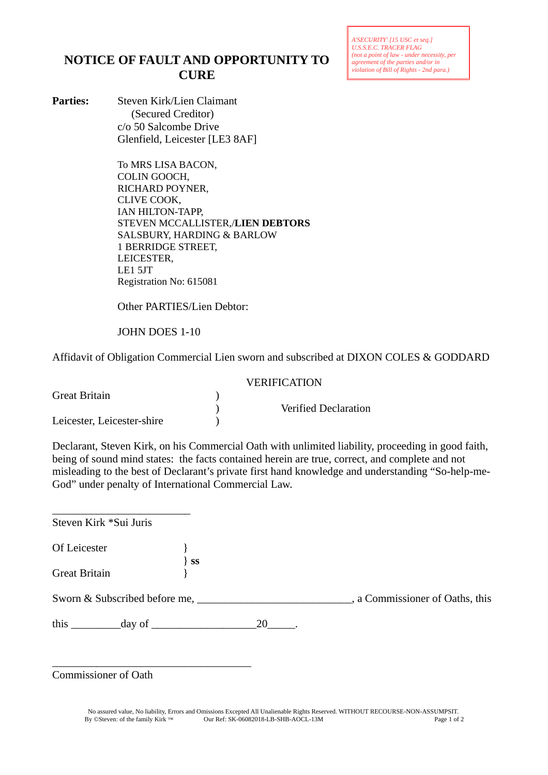*A'SECURITY' [15 USC et seq.] U.S.S.E.C. TRACER FLAG (not a point of law - under necessity, per agreement of the parties and/or in violation of Bill of Rights - 2nd para.)*

## **NOTICE OF FAULT AND OPPORTUNITY TO CURE**

**Parties:** Steven Kirk/Lien Claimant (Secured Creditor) c/o 50 Salcombe Drive Glenfield, Leicester [LE3 8AF]

> To MRS LISA BACON, COLIN GOOCH, RICHARD POYNER, CLIVE COOK, IAN HILTON-TAPP, STEVEN MCCALLISTER,/**LIEN DEBTORS** SALSBURY, HARDING & BARLOW 1 BERRIDGE STREET, LEICESTER, LE1 5JT Registration No: 615081

Other PARTIES/Lien Debtor:

JOHN DOES 1-10

Affidavit of Obligation Commercial Lien sworn and subscribed at DIXON COLES & GODDARD

|                            | <b>VERIFICATION</b> |                             |  |
|----------------------------|---------------------|-----------------------------|--|
| Great Britain              |                     | <b>Verified Declaration</b> |  |
| Leicester, Leicester-shire |                     |                             |  |

Declarant, Steven Kirk, on his Commercial Oath with unlimited liability, proceeding in good faith, being of sound mind states: the facts contained herein are true, correct, and complete and not misleading to the best of Declarant's private first hand knowledge and understanding "So-help-me-God" under penalty of International Commercial Law.

| Steven Kirk *Sui Juris                                                                                                                                                                                                                                                                            |         |    |                               |
|---------------------------------------------------------------------------------------------------------------------------------------------------------------------------------------------------------------------------------------------------------------------------------------------------|---------|----|-------------------------------|
| Of Leicester                                                                                                                                                                                                                                                                                      |         |    |                               |
| <b>Great Britain</b>                                                                                                                                                                                                                                                                              | $\}$ SS |    |                               |
| Sworn & Subscribed before me,                                                                                                                                                                                                                                                                     |         |    | a Commissioner of Oaths, this |
| this $\qquad$<br>$\frac{1}{2}$ day of $\frac{1}{2}$ day of $\frac{1}{2}$ day of $\frac{1}{2}$ day of $\frac{1}{2}$ day of $\frac{1}{2}$ day of $\frac{1}{2}$ day of $\frac{1}{2}$ day of $\frac{1}{2}$ day of $\frac{1}{2}$ day of $\frac{1}{2}$ day of $\frac{1}{2}$ day of $\frac{1}{2}$ day of |         | 20 |                               |

Commissioner of Oath

\_\_\_\_\_\_\_\_\_\_\_\_\_\_\_\_\_\_\_\_\_\_\_\_\_\_\_\_\_\_\_\_\_\_\_\_